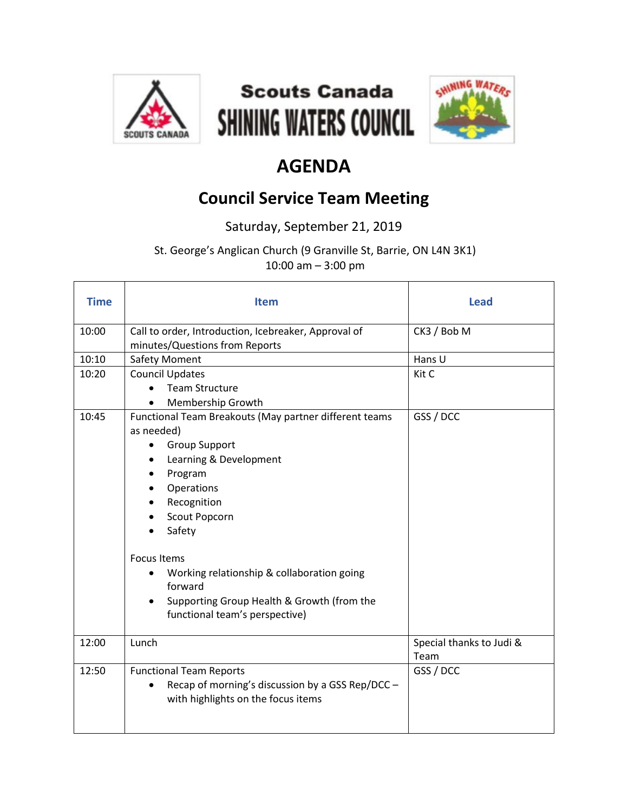





## **AGENDA**

## **Council Service Team Meeting**

Saturday, September 21, 2019

St. George's Anglican Church (9 Granville St, Barrie, ON L4N 3K1) 10:00 am – 3:00 pm

| <b>Time</b> | <b>Item</b>                                                                                                            | <b>Lead</b>                      |
|-------------|------------------------------------------------------------------------------------------------------------------------|----------------------------------|
| 10:00       | Call to order, Introduction, Icebreaker, Approval of<br>minutes/Questions from Reports                                 | CK3 / Bob M                      |
| 10:10       | <b>Safety Moment</b>                                                                                                   | Hans U                           |
| 10:20       | <b>Council Updates</b>                                                                                                 | Kit C                            |
|             | <b>Team Structure</b>                                                                                                  |                                  |
|             | Membership Growth                                                                                                      |                                  |
| 10:45       | Functional Team Breakouts (May partner different teams<br>as needed)<br><b>Group Support</b><br>Learning & Development | GSS / DCC                        |
|             |                                                                                                                        |                                  |
|             | Program<br>Operations                                                                                                  |                                  |
|             | Recognition                                                                                                            |                                  |
|             | Scout Popcorn                                                                                                          |                                  |
|             | Safety                                                                                                                 |                                  |
|             |                                                                                                                        |                                  |
|             | <b>Focus Items</b>                                                                                                     |                                  |
|             | Working relationship & collaboration going<br>forward                                                                  |                                  |
|             | Supporting Group Health & Growth (from the<br>functional team's perspective)                                           |                                  |
| 12:00       | Lunch                                                                                                                  | Special thanks to Judi &<br>Team |
| 12:50       | <b>Functional Team Reports</b>                                                                                         | GSS / DCC                        |
|             | Recap of morning's discussion by a GSS Rep/DCC -<br>with highlights on the focus items                                 |                                  |